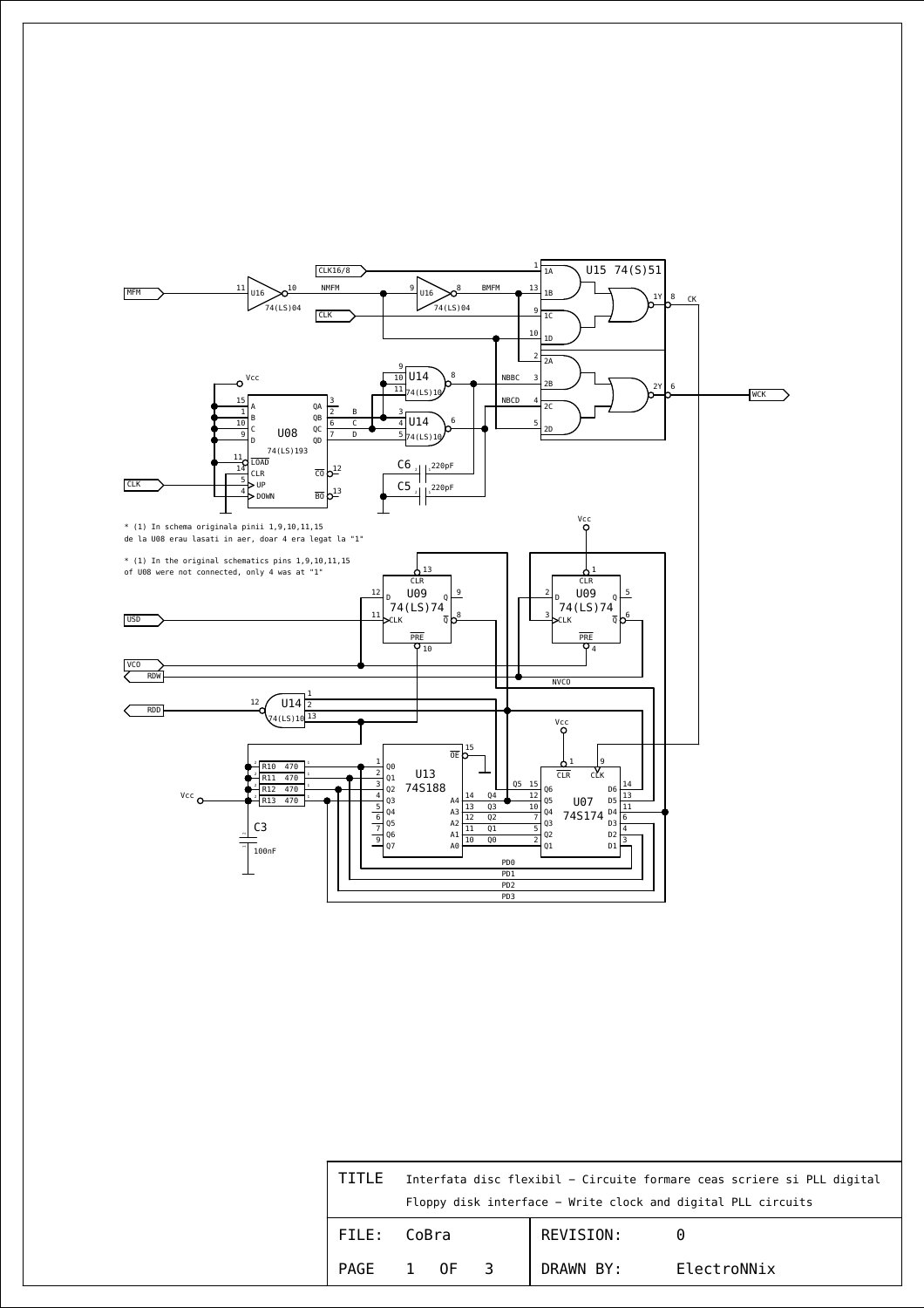

| TITLE | Interfata disc flexibil - Circuite formare ceas scriere si PLL digital |
|-------|------------------------------------------------------------------------|
|       | Floppy disk interface – Write clock and digital PLL circuits           |

| FILE: CoBra |  |      |  | REVISION: |             |
|-------------|--|------|--|-----------|-------------|
| PAGE        |  | 0F - |  | DRAWN BY: | ElectroNNix |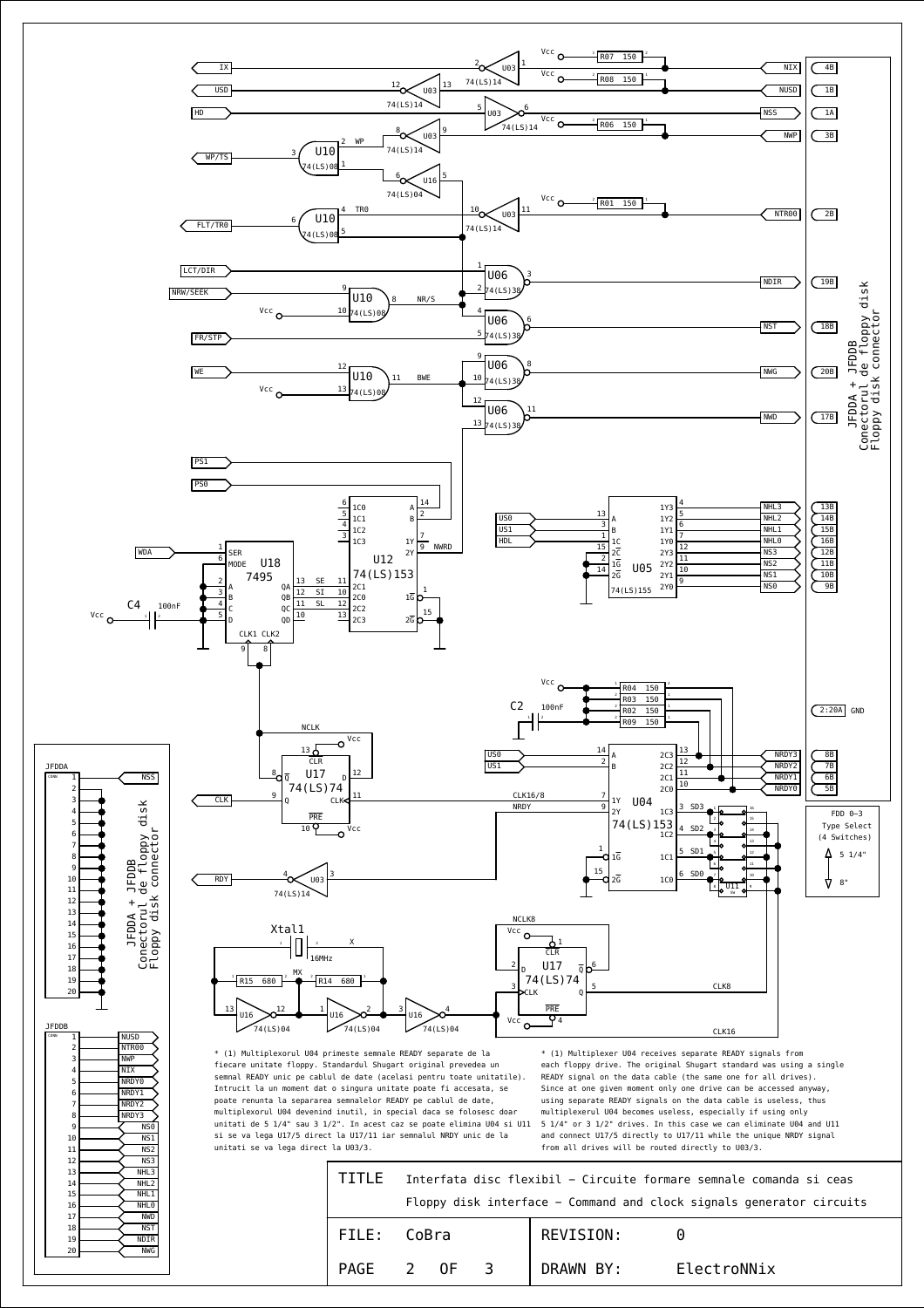